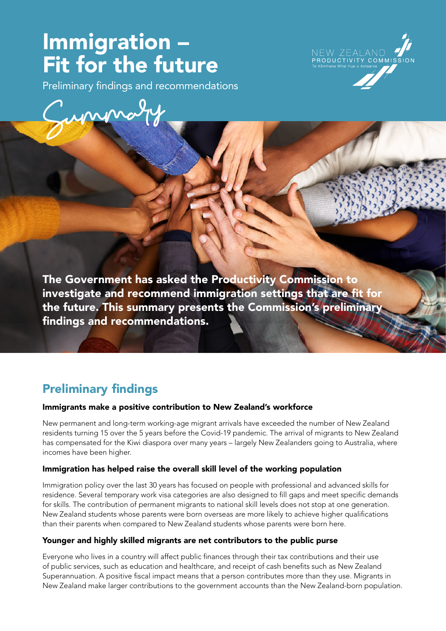# Immigration – Fit for the future

Summary

Preliminary findings and recommendations



The Government has asked the Productivity Commission to investigate and recommend immigration settings that are fit for the future. This summary presents the Commission's preliminary findings and recommendations.

# Preliminary findings

#### Immigrants make a positive contribution to New Zealand's workforce

New permanent and long-term working-age migrant arrivals have exceeded the number of New Zealand residents turning 15 over the 5 years before the Covid-19 pandemic. The arrival of migrants to New Zealand has compensated for the Kiwi diaspora over many years – largely New Zealanders going to Australia, where incomes have been higher.

### Immigration has helped raise the overall skill level of the working population

Immigration policy over the last 30 years has focused on people with professional and advanced skills for residence. Several temporary work visa categories are also designed to fill gaps and meet specific demands for skills. The contribution of permanent migrants to national skill levels does not stop at one generation. New Zealand students whose parents were born overseas are more likely to achieve higher qualifications than their parents when compared to New Zealand students whose parents were born here.

#### Younger and highly skilled migrants are net contributors to the public purse

Everyone who lives in a country will affect public finances through their tax contributions and their use of public services, such as education and healthcare, and receipt of cash benefits such as New Zealand Superannuation. A positive fiscal impact means that a person contributes more than they use. Migrants in New Zealand make larger contributions to the government accounts than the New Zealand-born population.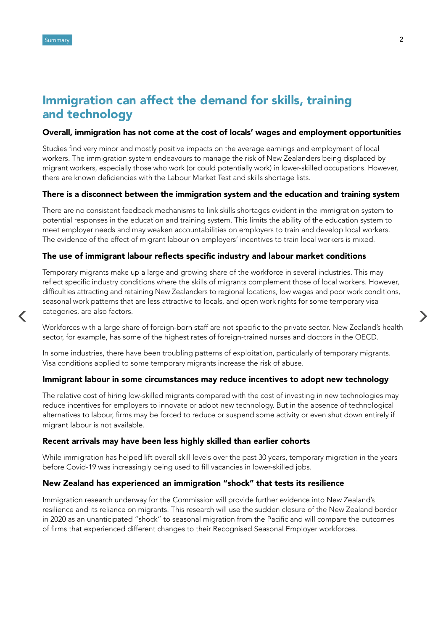$\checkmark$ 

# Immigration can affect the demand for skills, training and technology

#### Overall, immigration has not come at the cost of locals' wages and employment opportunities

Studies find very minor and mostly positive impacts on the average earnings and employment of local workers. The immigration system endeavours to manage the risk of New Zealanders being displaced by migrant workers, especially those who work (or could potentially work) in lower-skilled occupations. However, there are known deficiencies with the Labour Market Test and skills shortage lists.

#### There is a disconnect between the immigration system and the education and training system

There are no consistent feedback mechanisms to link skills shortages evident in the immigration system to potential responses in the education and training system. This limits the ability of the education system to meet employer needs and may weaken accountabilities on employers to train and develop local workers. The evidence of the effect of migrant labour on employers' incentives to train local workers is mixed.

#### The use of immigrant labour reflects specific industry and labour market conditions

Temporary migrants make up a large and growing share of the workforce in several industries. This may reflect specific industry conditions where the skills of migrants complement those of local workers. However, difficulties attracting and retaining New Zealanders to regional locations, low wages and poor work conditions, seasonal work patterns that are less attractive to locals, and open work rights for some temporary visa categories, are also factors.

Workforces with a large share of foreign-born staff are not specific to the private sector. New Zealand's health sector, for example, has some of the highest rates of foreign-trained nurses and doctors in the OECD.

In some industries, there have been troubling patterns of exploitation, particularly of temporary migrants. Visa conditions applied to some temporary migrants increase the risk of abuse.

#### Immigrant labour in some circumstances may reduce incentives to adopt new technology

The relative cost of hiring low-skilled migrants compared with the cost of investing in new technologies may reduce incentives for employers to innovate or adopt new technology. But in the absence of technological alternatives to labour, firms may be forced to reduce or suspend some activity or even shut down entirely if migrant labour is not available.

#### Recent arrivals may have been less highly skilled than earlier cohorts

While immigration has helped lift overall skill levels over the past 30 years, temporary migration in the years before Covid-19 was increasingly being used to fill vacancies in lower-skilled jobs.

#### New Zealand has experienced an immigration "shock" that tests its resilience

Immigration research underway for the Commission will provide further evidence into New Zealand's resilience and its reliance on migrants. This research will use the sudden closure of the New Zealand border in 2020 as an unanticipated "shock" to seasonal migration from the Pacific and will compare the outcomes of firms that experienced different changes to their Recognised Seasonal Employer workforces.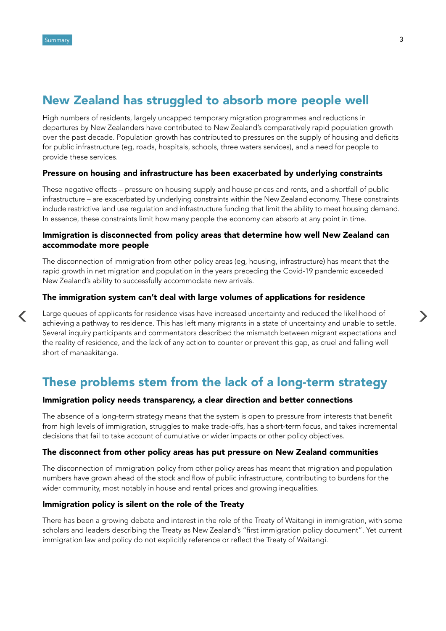$\checkmark$ 

# New Zealand has struggled to absorb more people well

High numbers of residents, largely uncapped temporary migration programmes and reductions in departures by New Zealanders have contributed to New Zealand's comparatively rapid population growth over the past decade. Population growth has contributed to pressures on the supply of housing and deficits for public infrastructure (eg, roads, hospitals, schools, three waters services), and a need for people to provide these services.

#### Pressure on housing and infrastructure has been exacerbated by underlying constraints

These negative effects – pressure on housing supply and house prices and rents, and a shortfall of public infrastructure – are exacerbated by underlying constraints within the New Zealand economy. These constraints include restrictive land use regulation and infrastructure funding that limit the ability to meet housing demand. In essence, these constraints limit how many people the economy can absorb at any point in time.

#### Immigration is disconnected from policy areas that determine how well New Zealand can accommodate more people

The disconnection of immigration from other policy areas (eg, housing, infrastructure) has meant that the rapid growth in net migration and population in the years preceding the Covid-19 pandemic exceeded New Zealand's ability to successfully accommodate new arrivals.

#### The immigration system can't deal with large volumes of applications for residence

Large queues of applicants for residence visas have increased uncertainty and reduced the likelihood of achieving a pathway to residence. This has left many migrants in a state of uncertainty and unable to settle. Several inquiry participants and commentators described the mismatch between migrant expectations and the reality of residence, and the lack of any action to counter or prevent this gap, as cruel and falling well short of manaakitanga.

# These problems stem from the lack of a long-term strategy

#### Immigration policy needs transparency, a clear direction and better connections

The absence of a long-term strategy means that the system is open to pressure from interests that benefit from high levels of immigration, struggles to make trade-offs, has a short-term focus, and takes incremental decisions that fail to take account of cumulative or wider impacts or other policy objectives.

#### The disconnect from other policy areas has put pressure on New Zealand communities

The disconnection of immigration policy from other policy areas has meant that migration and population numbers have grown ahead of the stock and flow of public infrastructure, contributing to burdens for the wider community, most notably in house and rental prices and growing inequalities.

#### Immigration policy is silent on the role of the Treaty

There has been a growing debate and interest in the role of the Treaty of Waitangi in immigration, with some scholars and leaders describing the Treaty as New Zealand's "first immigration policy document". Yet current immigration law and policy do not explicitly reference or reflect the Treaty of Waitangi.